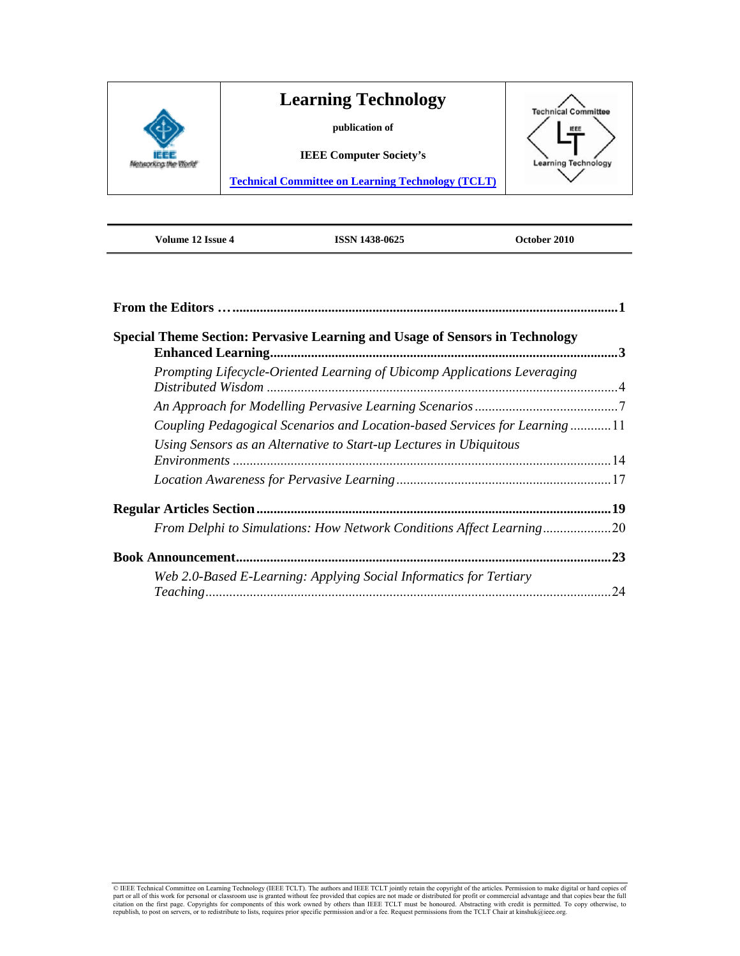

**Volume 12 Issue 4 ISSN 1438-0625 October 2010** 

| <b>Special Theme Section: Pervasive Learning and Usage of Sensors in Technology</b> |    |
|-------------------------------------------------------------------------------------|----|
| Prompting Lifecycle-Oriented Learning of Ubicomp Applications Leveraging            |    |
|                                                                                     |    |
| Coupling Pedagogical Scenarios and Location-based Services for Learning11           |    |
| Using Sensors as an Alternative to Start-up Lectures in Ubiquitous                  |    |
|                                                                                     |    |
|                                                                                     |    |
| From Delphi to Simulations: How Network Conditions Affect Learning20                |    |
| <b>Book Announcement</b>                                                            | 23 |
| Web 2.0-Based E-Learning: Applying Social Informatics for Tertiary                  | 24 |

C IEEE Technical Committee on Learning Technology (IEEE TCLT). The authors and IEEE TCLT jointly retain the copyright of the articles. Permission to make digital or hard copies of part or all of this work for personal or c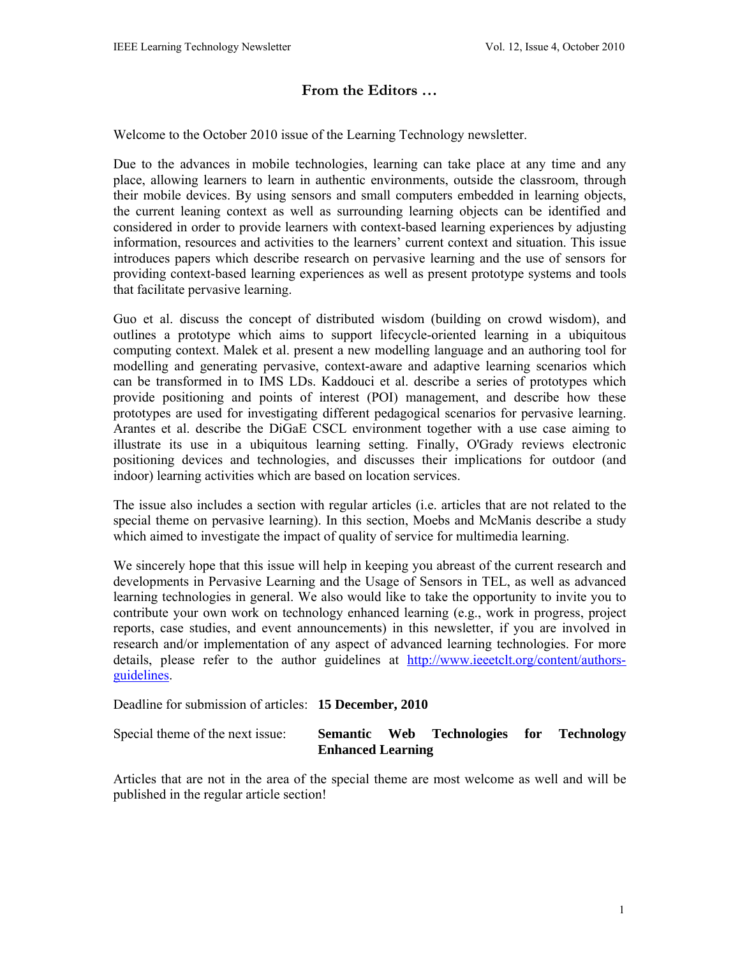# **From the Editors …**

Welcome to the October 2010 issue of the Learning Technology newsletter.

Due to the advances in mobile technologies, learning can take place at any time and any place, allowing learners to learn in authentic environments, outside the classroom, through their mobile devices. By using sensors and small computers embedded in learning objects, the current leaning context as well as surrounding learning objects can be identified and considered in order to provide learners with context-based learning experiences by adjusting information, resources and activities to the learners' current context and situation. This issue introduces papers which describe research on pervasive learning and the use of sensors for providing context-based learning experiences as well as present prototype systems and tools that facilitate pervasive learning.

Guo et al. discuss the concept of distributed wisdom (building on crowd wisdom), and outlines a prototype which aims to support lifecycle-oriented learning in a ubiquitous computing context. Malek et al. present a new modelling language and an authoring tool for modelling and generating pervasive, context-aware and adaptive learning scenarios which can be transformed in to IMS LDs. Kaddouci et al. describe a series of prototypes which provide positioning and points of interest (POI) management, and describe how these prototypes are used for investigating different pedagogical scenarios for pervasive learning. Arantes et al. describe the DiGaE CSCL environment together with a use case aiming to illustrate its use in a ubiquitous learning setting. Finally, O'Grady reviews electronic positioning devices and technologies, and discusses their implications for outdoor (and indoor) learning activities which are based on location services.

The issue also includes a section with regular articles (i.e. articles that are not related to the special theme on pervasive learning). In this section, Moebs and McManis describe a study which aimed to investigate the impact of quality of service for multimedia learning.

We sincerely hope that this issue will help in keeping you abreast of the current research and developments in Pervasive Learning and the Usage of Sensors in TEL, as well as advanced learning technologies in general. We also would like to take the opportunity to invite you to contribute your own work on technology enhanced learning (e.g., work in progress, project reports, case studies, and event announcements) in this newsletter, if you are involved in research and/or implementation of any aspect of advanced learning technologies. For more details, please refer to the author guidelines at http://www.ieeetclt.org/content/authorsguidelines.

Deadline for submission of articles: **15 December, 2010** 

| Special theme of the next issue: |                          |  | Semantic Web Technologies for Technology |  |  |
|----------------------------------|--------------------------|--|------------------------------------------|--|--|
|                                  | <b>Enhanced Learning</b> |  |                                          |  |  |

Articles that are not in the area of the special theme are most welcome as well and will be published in the regular article section!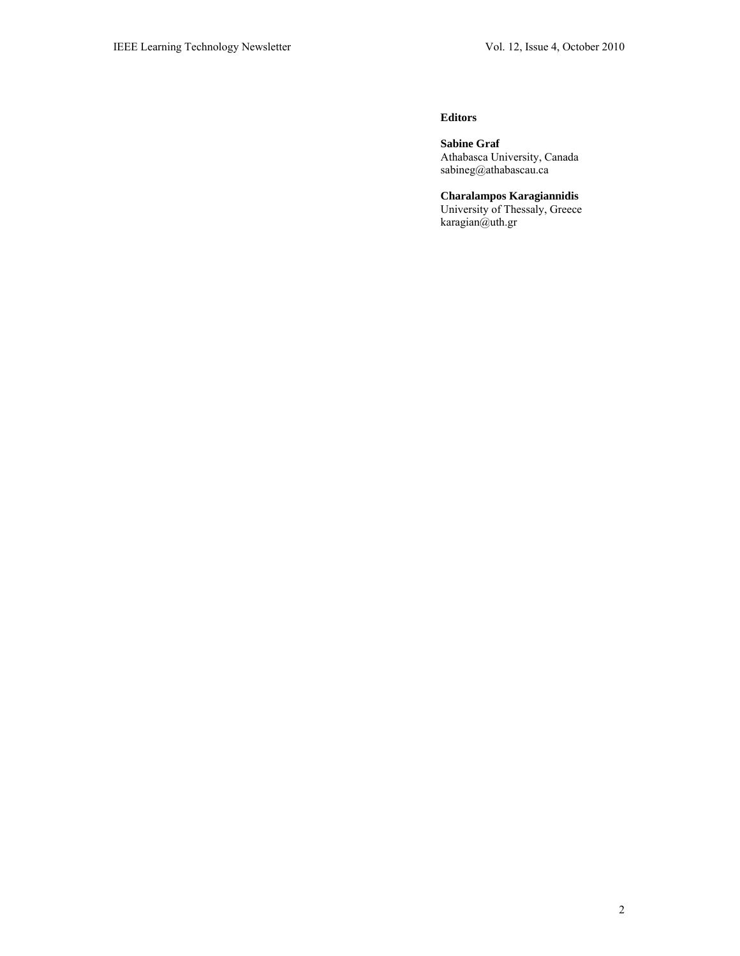#### **Editors**

**Sabine Graf**  Athabasca University, Canada sabineg@athabascau.ca

**Charalampos Karagiannidis**  University of Thessaly, Greece karagian@uth.gr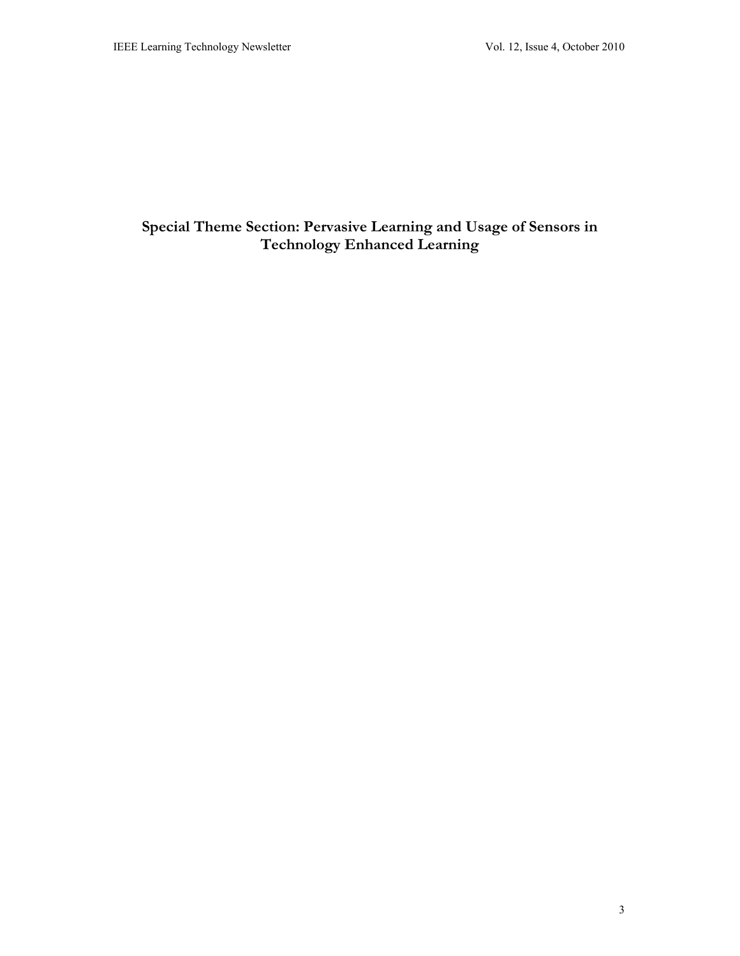# **Special Theme Section: Pervasive Learning and Usage of Sensors in Technology Enhanced Learning**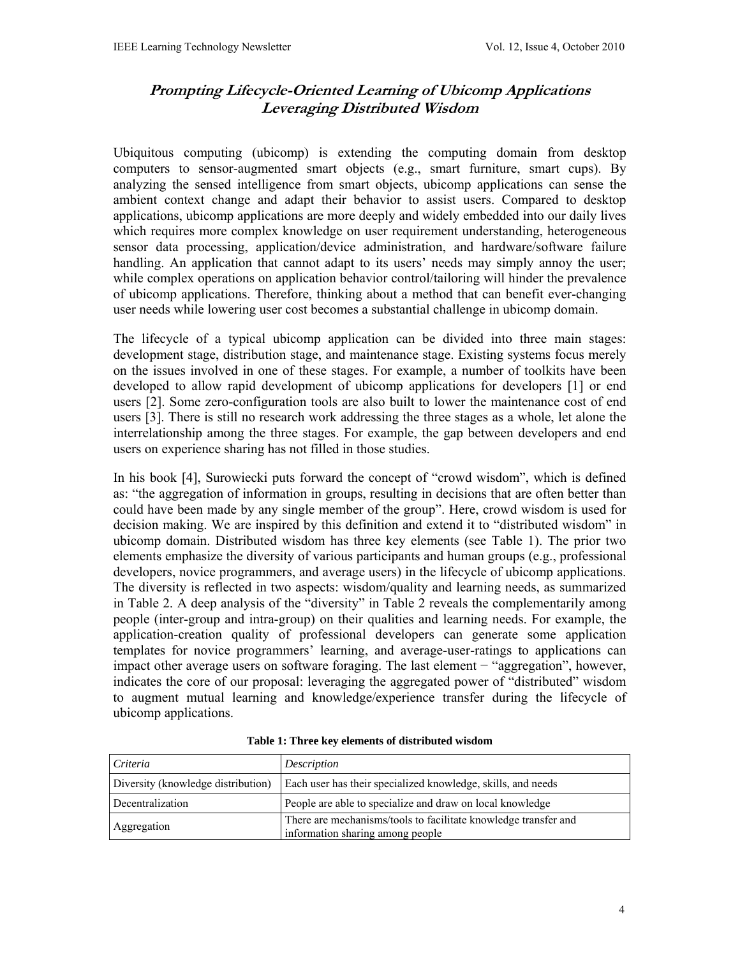# **Prompting Lifecycle-Oriented Learning of Ubicomp Applications Leveraging Distributed Wisdom**

Ubiquitous computing (ubicomp) is extending the computing domain from desktop computers to sensor-augmented smart objects (e.g., smart furniture, smart cups). By analyzing the sensed intelligence from smart objects, ubicomp applications can sense the ambient context change and adapt their behavior to assist users. Compared to desktop applications, ubicomp applications are more deeply and widely embedded into our daily lives which requires more complex knowledge on user requirement understanding, heterogeneous sensor data processing, application/device administration, and hardware/software failure handling. An application that cannot adapt to its users' needs may simply annoy the user; while complex operations on application behavior control/tailoring will hinder the prevalence of ubicomp applications. Therefore, thinking about a method that can benefit ever-changing user needs while lowering user cost becomes a substantial challenge in ubicomp domain.

The lifecycle of a typical ubicomp application can be divided into three main stages: development stage, distribution stage, and maintenance stage. Existing systems focus merely on the issues involved in one of these stages. For example, a number of toolkits have been developed to allow rapid development of ubicomp applications for developers [1] or end users [2]. Some zero-configuration tools are also built to lower the maintenance cost of end users [3]. There is still no research work addressing the three stages as a whole, let alone the interrelationship among the three stages. For example, the gap between developers and end users on experience sharing has not filled in those studies.

In his book [4], Surowiecki puts forward the concept of "crowd wisdom", which is defined as: "the aggregation of information in groups, resulting in decisions that are often better than could have been made by any single member of the group". Here, crowd wisdom is used for decision making. We are inspired by this definition and extend it to "distributed wisdom" in ubicomp domain. Distributed wisdom has three key elements (see Table 1). The prior two elements emphasize the diversity of various participants and human groups (e.g., professional developers, novice programmers, and average users) in the lifecycle of ubicomp applications. The diversity is reflected in two aspects: wisdom/quality and learning needs, as summarized in Table 2. A deep analysis of the "diversity" in Table 2 reveals the complementarily among people (inter-group and intra-group) on their qualities and learning needs. For example, the application-creation quality of professional developers can generate some application templates for novice programmers' learning, and average-user-ratings to applications can impact other average users on software foraging. The last element − "aggregation", however, indicates the core of our proposal: leveraging the aggregated power of "distributed" wisdom to augment mutual learning and knowledge/experience transfer during the lifecycle of ubicomp applications.

| Criteria                           | Description                                                                                         |
|------------------------------------|-----------------------------------------------------------------------------------------------------|
| Diversity (knowledge distribution) | Each user has their specialized knowledge, skills, and needs                                        |
| Decentralization                   | People are able to specialize and draw on local knowledge                                           |
| Aggregation                        | There are mechanisms/tools to facilitate knowledge transfer and<br>information sharing among people |

**Table 1: Three key elements of distributed wisdom**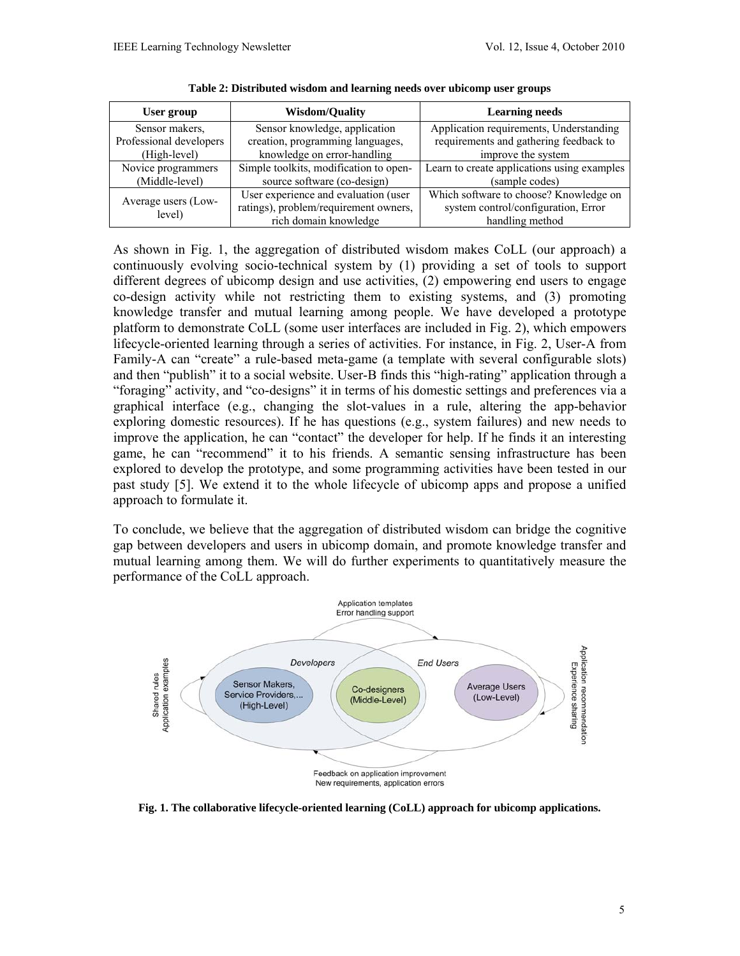| User group                    | <b>Wisdom/Quality</b>                                                                                  | <b>Learning needs</b>                                                                            |
|-------------------------------|--------------------------------------------------------------------------------------------------------|--------------------------------------------------------------------------------------------------|
| Sensor makers.                | Sensor knowledge, application                                                                          | Application requirements, Understanding                                                          |
| Professional developers       | creation, programming languages,                                                                       | requirements and gathering feedback to                                                           |
| (High-level)                  | knowledge on error-handling                                                                            | improve the system                                                                               |
| Novice programmers            | Simple toolkits, modification to open-                                                                 | Learn to create applications using examples                                                      |
| (Middle-level)                | source software (co-design)                                                                            | (sample codes)                                                                                   |
| Average users (Low-<br>level) | User experience and evaluation (user<br>ratings), problem/requirement owners,<br>rich domain knowledge | Which software to choose? Knowledge on<br>system control/configuration, Error<br>handling method |

**Table 2: Distributed wisdom and learning needs over ubicomp user groups** 

As shown in Fig. 1, the aggregation of distributed wisdom makes CoLL (our approach) a continuously evolving socio-technical system by (1) providing a set of tools to support different degrees of ubicomp design and use activities, (2) empowering end users to engage co-design activity while not restricting them to existing systems, and (3) promoting knowledge transfer and mutual learning among people. We have developed a prototype platform to demonstrate CoLL (some user interfaces are included in Fig. 2), which empowers lifecycle-oriented learning through a series of activities. For instance, in Fig. 2, User-A from Family-A can "create" a rule-based meta-game (a template with several configurable slots) and then "publish" it to a social website. User-B finds this "high-rating" application through a "foraging" activity, and "co-designs" it in terms of his domestic settings and preferences via a graphical interface (e.g., changing the slot-values in a rule, altering the app-behavior exploring domestic resources). If he has questions (e.g., system failures) and new needs to improve the application, he can "contact" the developer for help. If he finds it an interesting game, he can "recommend" it to his friends. A semantic sensing infrastructure has been explored to develop the prototype, and some programming activities have been tested in our past study [5]. We extend it to the whole lifecycle of ubicomp apps and propose a unified approach to formulate it.

To conclude, we believe that the aggregation of distributed wisdom can bridge the cognitive gap between developers and users in ubicomp domain, and promote knowledge transfer and mutual learning among them. We will do further experiments to quantitatively measure the performance of the CoLL approach.



**Fig. 1. The collaborative lifecycle-oriented learning (CoLL) approach for ubicomp applications.**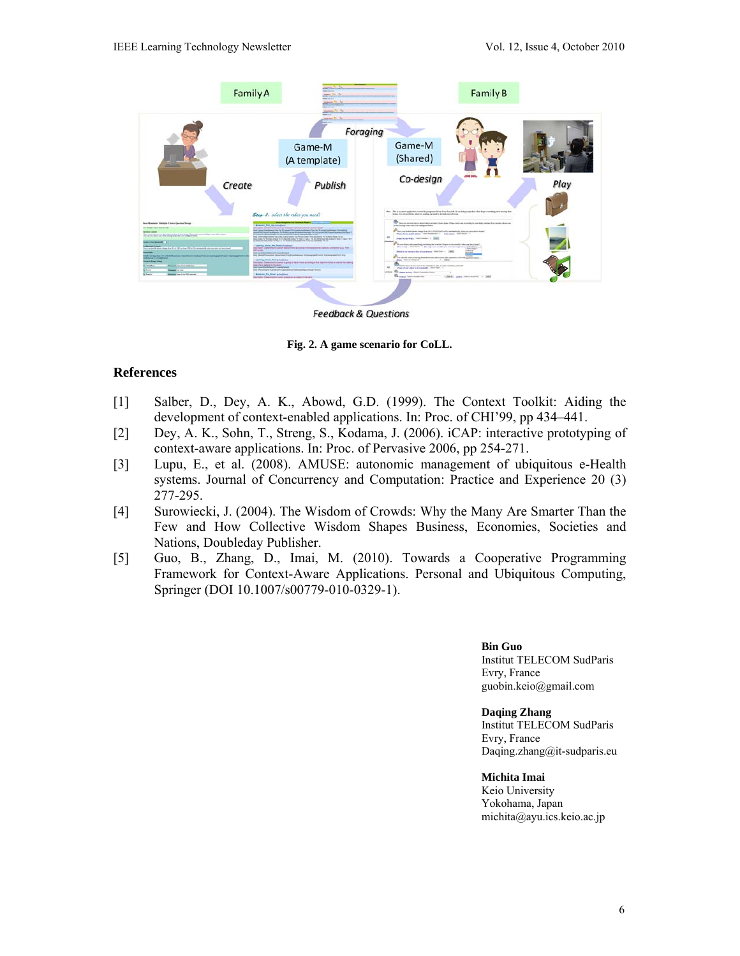

**Fig. 2. A game scenario for CoLL.** 

### **References**

- [1] Salber, D., Dey, A. K., Abowd, G.D. (1999). The Context Toolkit: Aiding the development of context-enabled applications. In: Proc. of CHI'99, pp 434–441.
- [2] Dey, A. K., Sohn, T., Streng, S., Kodama, J. (2006). iCAP: interactive prototyping of context-aware applications. In: Proc. of Pervasive 2006, pp 254-271.
- [3] Lupu, E., et al. (2008). AMUSE: autonomic management of ubiquitous e-Health systems. Journal of Concurrency and Computation: Practice and Experience 20 (3) 277-295.
- [4] Surowiecki, J. (2004). The Wisdom of Crowds: Why the Many Are Smarter Than the Few and How Collective Wisdom Shapes Business, Economies, Societies and Nations, Doubleday Publisher.
- [5] Guo, B., Zhang, D., Imai, M. (2010). Towards a Cooperative Programming Framework for Context-Aware Applications. Personal and Ubiquitous Computing, Springer (DOI 10.1007/s00779-010-0329-1).

**Bin Guo** 

Institut TELECOM SudParis Evry, France guobin.keio@gmail.com

**Daqing Zhang** 

Institut TELECOM SudParis Evry, France Daqing.zhang@it-sudparis.eu

#### **Michita Imai**

Keio University Yokohama, Japan michita@ayu.ics.keio.ac.jp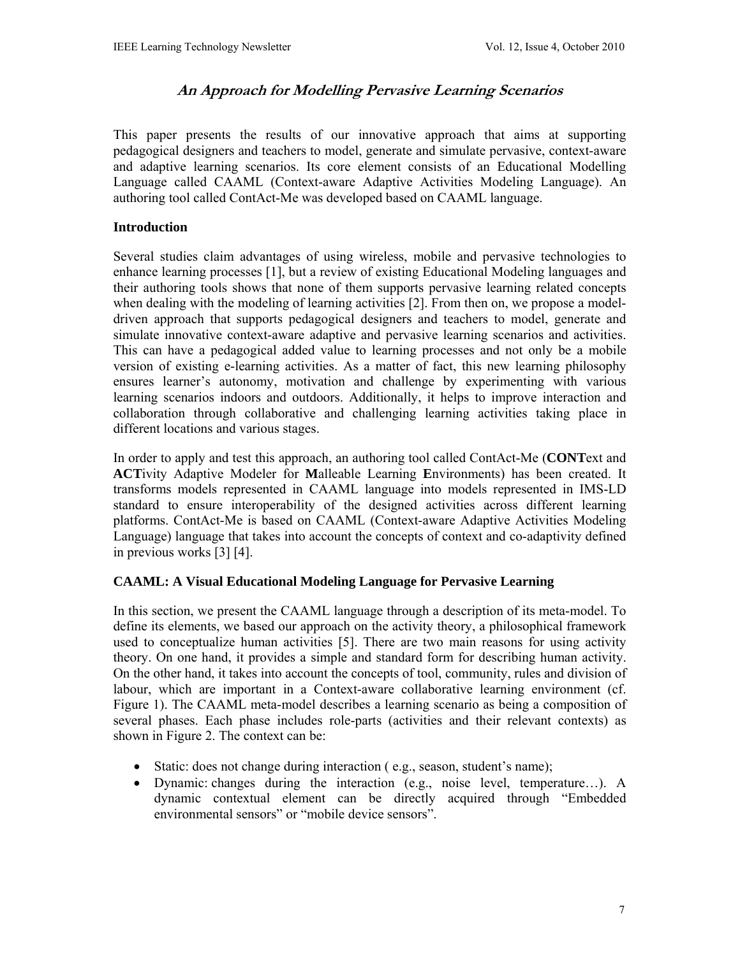# **An Approach for Modelling Pervasive Learning Scenarios**

This paper presents the results of our innovative approach that aims at supporting pedagogical designers and teachers to model, generate and simulate pervasive, context-aware and adaptive learning scenarios. Its core element consists of an Educational Modelling Language called CAAML (Context-aware Adaptive Activities Modeling Language). An authoring tool called ContAct-Me was developed based on CAAML language.

### **Introduction**

Several studies claim advantages of using wireless, mobile and pervasive technologies to enhance learning processes [1], but a review of existing Educational Modeling languages and their authoring tools shows that none of them supports pervasive learning related concepts when dealing with the modeling of learning activities [2]. From then on, we propose a modeldriven approach that supports pedagogical designers and teachers to model, generate and simulate innovative context-aware adaptive and pervasive learning scenarios and activities. This can have a pedagogical added value to learning processes and not only be a mobile version of existing e-learning activities. As a matter of fact, this new learning philosophy ensures learner's autonomy, motivation and challenge by experimenting with various learning scenarios indoors and outdoors. Additionally, it helps to improve interaction and collaboration through collaborative and challenging learning activities taking place in different locations and various stages.

In order to apply and test this approach, an authoring tool called ContAct-Me (**CONT**ext and **ACT**ivity Adaptive Modeler for **M**alleable Learning **E**nvironments) has been created. It transforms models represented in CAAML language into models represented in IMS-LD standard to ensure interoperability of the designed activities across different learning platforms. ContAct-Me is based on CAAML (Context-aware Adaptive Activities Modeling Language) language that takes into account the concepts of context and co-adaptivity defined in previous works [3] [4].

### **CAAML: A Visual Educational Modeling Language for Pervasive Learning**

In this section, we present the CAAML language through a description of its meta-model. To define its elements, we based our approach on the activity theory, a philosophical framework used to conceptualize human activities [5]. There are two main reasons for using activity theory. On one hand, it provides a simple and standard form for describing human activity. On the other hand, it takes into account the concepts of tool, community, rules and division of labour, which are important in a Context-aware collaborative learning environment (cf. Figure 1). The CAAML meta-model describes a learning scenario as being a composition of several phases. Each phase includes role-parts (activities and their relevant contexts) as shown in Figure 2. The context can be:

- Static: does not change during interaction (e.g., season, student's name);
- Dynamic: changes during the interaction (e.g., noise level, temperature…). A dynamic contextual element can be directly acquired through "Embedded environmental sensors" or "mobile device sensors".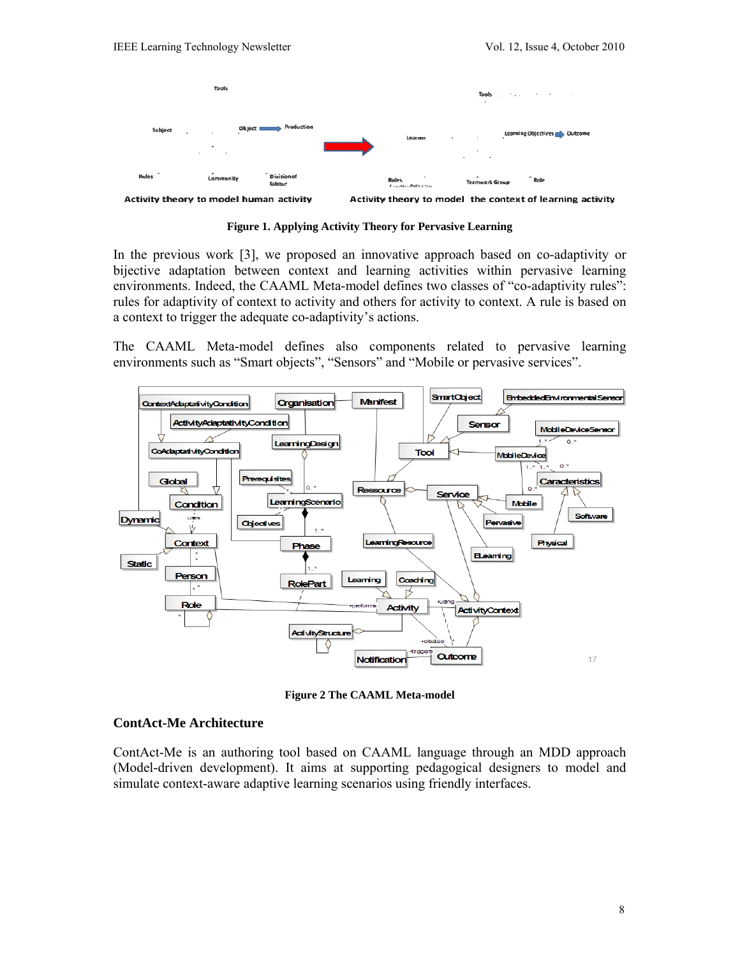

**Figure 1. Applying Activity Theory for Pervasive Learning** 

In the previous work [3], we proposed an innovative approach based on co-adaptivity or bijective adaptation between context and learning activities within pervasive learning environments. Indeed, the CAAML Meta-model defines two classes of "co-adaptivity rules": rules for adaptivity of context to activity and others for activity to context. A rule is based on a context to trigger the adequate co-adaptivity's actions.

The CAAML Meta-model defines also components related to pervasive learning environments such as "Smart objects", "Sensors" and "Mobile or pervasive services".



**Figure 2 The CAAML Meta-model** 

### **ContAct-Me Architecture**

ContAct-Me is an authoring tool based on CAAML language through an MDD approach (Model-driven development). It aims at supporting pedagogical designers to model and simulate context-aware adaptive learning scenarios using friendly interfaces.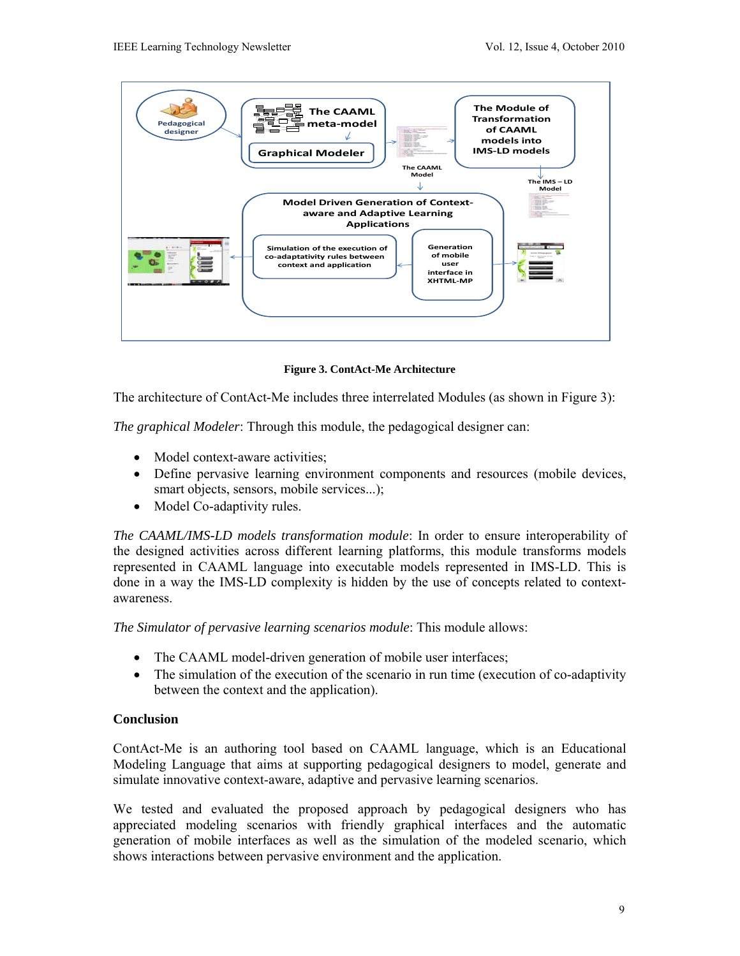

**Figure 3. ContAct-Me Architecture** 

The architecture of ContAct-Me includes three interrelated Modules (as shown in Figure 3):

*The graphical Modeler*: Through this module, the pedagogical designer can:

- Model context-aware activities;
- Define pervasive learning environment components and resources (mobile devices, smart objects, sensors, mobile services...);
- Model Co-adaptivity rules.

*The CAAML/IMS-LD models transformation module*: In order to ensure interoperability of the designed activities across different learning platforms, this module transforms models represented in CAAML language into executable models represented in IMS-LD. This is done in a way the IMS-LD complexity is hidden by the use of concepts related to contextawareness.

*The Simulator of pervasive learning scenarios module*: This module allows:

- The CAAML model-driven generation of mobile user interfaces;
- The simulation of the execution of the scenario in run time (execution of co-adaptivity between the context and the application).

# **Conclusion**

ContAct-Me is an authoring tool based on CAAML language, which is an Educational Modeling Language that aims at supporting pedagogical designers to model, generate and simulate innovative context-aware, adaptive and pervasive learning scenarios.

We tested and evaluated the proposed approach by pedagogical designers who has appreciated modeling scenarios with friendly graphical interfaces and the automatic generation of mobile interfaces as well as the simulation of the modeled scenario, which shows interactions between pervasive environment and the application.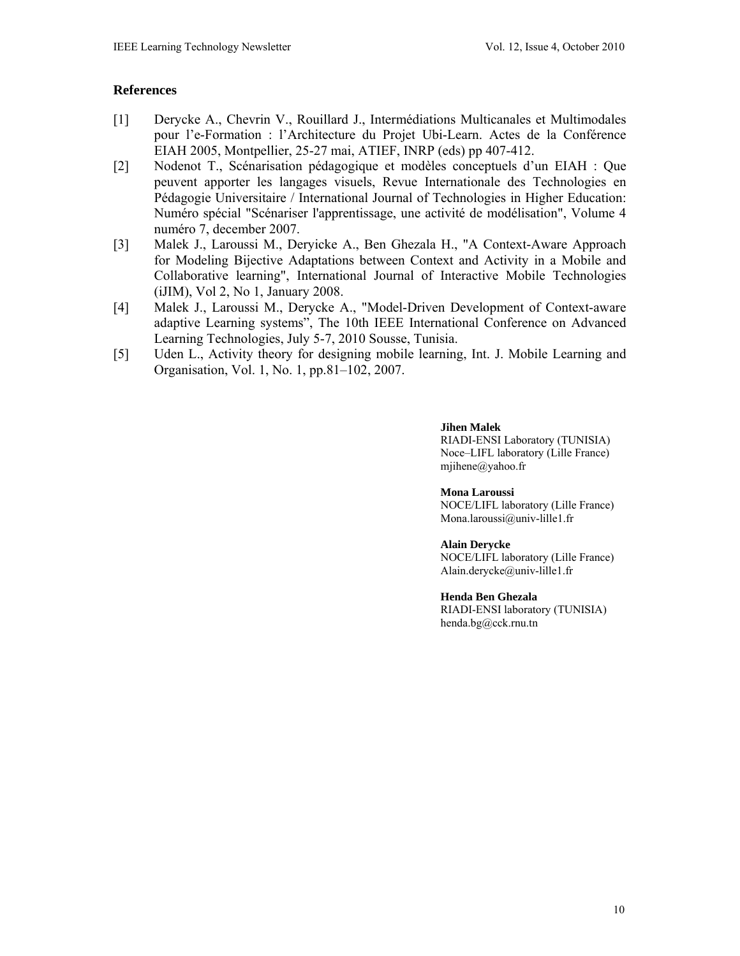# **References**

- [1] Derycke A., Chevrin V., Rouillard J., Intermédiations Multicanales et Multimodales pour l'e-Formation : l'Architecture du Projet Ubi-Learn. Actes de la Conférence EIAH 2005, Montpellier, 25-27 mai, ATIEF, INRP (eds) pp 407-412.
- [2] Nodenot T., Scénarisation pédagogique et modèles conceptuels d'un EIAH : Que peuvent apporter les langages visuels, Revue Internationale des Technologies en Pédagogie Universitaire / International Journal of Technologies in Higher Education: Numéro spécial "Scénariser l'apprentissage, une activité de modélisation", Volume 4 numéro 7, december 2007.
- [3] Malek J., Laroussi M., Deryicke A., Ben Ghezala H., "A Context-Aware Approach for Modeling Bijective Adaptations between Context and Activity in a Mobile and Collaborative learning", International Journal of Interactive Mobile Technologies (iJIM), Vol 2, No 1, January 2008.
- [4] Malek J., Laroussi M., Derycke A., "Model-Driven Development of Context-aware adaptive Learning systems", The 10th IEEE International Conference on Advanced Learning Technologies, July 5-7, 2010 Sousse, Tunisia.
- [5] Uden L., Activity theory for designing mobile learning, Int. J. Mobile Learning and Organisation, Vol. 1, No. 1, pp.81–102, 2007.

#### **Jihen Malek**

RIADI-ENSI Laboratory (TUNISIA) Noce–LIFL laboratory (Lille France) mjihene@yahoo.fr

#### **Mona Laroussi**

NOCE/LIFL laboratory (Lille France) Mona.laroussi@univ-lille1.fr

#### **Alain Derycke**

NOCE/LIFL laboratory (Lille France) Alain.derycke@univ-lille1.fr

#### **Henda Ben Ghezala**

RIADI-ENSI laboratory (TUNISIA) henda.bg@cck.rnu.tn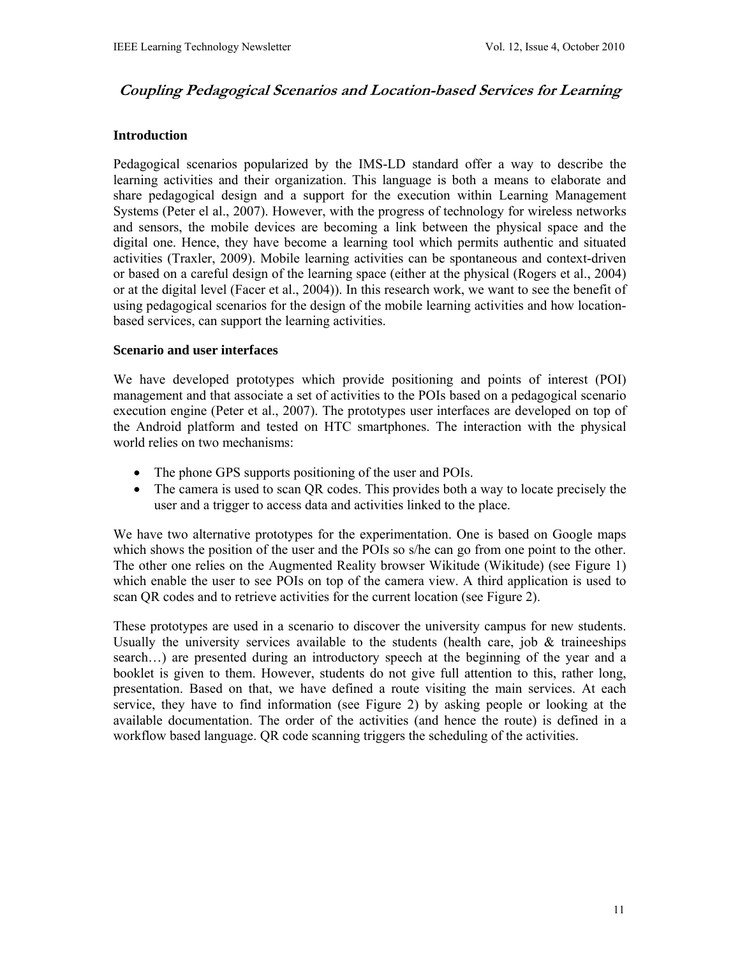# **Coupling Pedagogical Scenarios and Location-based Services for Learning**

### **Introduction**

Pedagogical scenarios popularized by the IMS-LD standard offer a way to describe the learning activities and their organization. This language is both a means to elaborate and share pedagogical design and a support for the execution within Learning Management Systems (Peter el al., 2007). However, with the progress of technology for wireless networks and sensors, the mobile devices are becoming a link between the physical space and the digital one. Hence, they have become a learning tool which permits authentic and situated activities (Traxler, 2009). Mobile learning activities can be spontaneous and context-driven or based on a careful design of the learning space (either at the physical (Rogers et al., 2004) or at the digital level (Facer et al., 2004)). In this research work, we want to see the benefit of using pedagogical scenarios for the design of the mobile learning activities and how locationbased services, can support the learning activities.

#### **Scenario and user interfaces**

We have developed prototypes which provide positioning and points of interest (POI) management and that associate a set of activities to the POIs based on a pedagogical scenario execution engine (Peter et al., 2007). The prototypes user interfaces are developed on top of the Android platform and tested on HTC smartphones. The interaction with the physical world relies on two mechanisms:

- The phone GPS supports positioning of the user and POIs.
- The camera is used to scan QR codes. This provides both a way to locate precisely the user and a trigger to access data and activities linked to the place.

We have two alternative prototypes for the experimentation. One is based on Google maps which shows the position of the user and the POIs so s/he can go from one point to the other. The other one relies on the Augmented Reality browser Wikitude (Wikitude) (see Figure 1) which enable the user to see POIs on top of the camera view. A third application is used to scan QR codes and to retrieve activities for the current location (see Figure 2).

These prototypes are used in a scenario to discover the university campus for new students. Usually the university services available to the students (health care, job  $\&$  traineeships search…) are presented during an introductory speech at the beginning of the year and a booklet is given to them. However, students do not give full attention to this, rather long, presentation. Based on that, we have defined a route visiting the main services. At each service, they have to find information (see Figure 2) by asking people or looking at the available documentation. The order of the activities (and hence the route) is defined in a workflow based language. QR code scanning triggers the scheduling of the activities.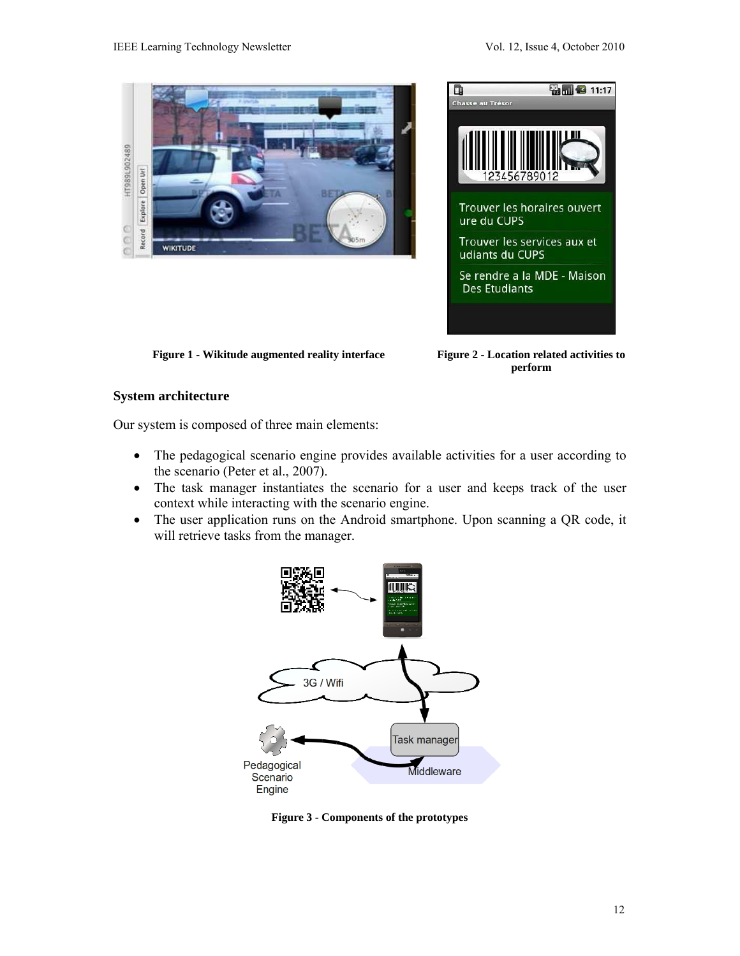



**Figure 1 - Wikitude augmented reality interface Figure 2 - Location related activities to** 

**perform** 

## **System architecture**

Our system is composed of three main elements:

- The pedagogical scenario engine provides available activities for a user according to the scenario (Peter et al., 2007).
- The task manager instantiates the scenario for a user and keeps track of the user context while interacting with the scenario engine.
- The user application runs on the Android smartphone. Upon scanning a QR code, it will retrieve tasks from the manager.



**Figure 3 - Components of the prototypes**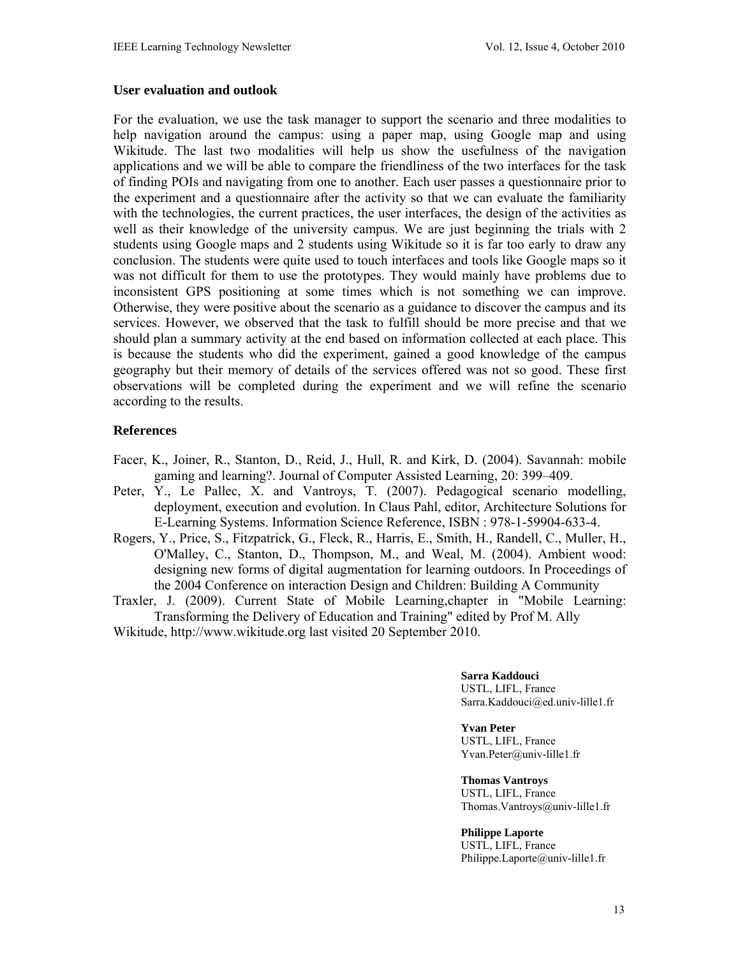#### **User evaluation and outlook**

For the evaluation, we use the task manager to support the scenario and three modalities to help navigation around the campus: using a paper map, using Google map and using Wikitude. The last two modalities will help us show the usefulness of the navigation applications and we will be able to compare the friendliness of the two interfaces for the task of finding POIs and navigating from one to another. Each user passes a questionnaire prior to the experiment and a questionnaire after the activity so that we can evaluate the familiarity with the technologies, the current practices, the user interfaces, the design of the activities as well as their knowledge of the university campus. We are just beginning the trials with 2 students using Google maps and 2 students using Wikitude so it is far too early to draw any conclusion. The students were quite used to touch interfaces and tools like Google maps so it was not difficult for them to use the prototypes. They would mainly have problems due to inconsistent GPS positioning at some times which is not something we can improve. Otherwise, they were positive about the scenario as a guidance to discover the campus and its services. However, we observed that the task to fulfill should be more precise and that we should plan a summary activity at the end based on information collected at each place. This is because the students who did the experiment, gained a good knowledge of the campus geography but their memory of details of the services offered was not so good. These first observations will be completed during the experiment and we will refine the scenario according to the results.

### **References**

- Facer, K., Joiner, R., Stanton, D., Reid, J., Hull, R. and Kirk, D. (2004). Savannah: mobile gaming and learning?. Journal of Computer Assisted Learning, 20: 399–409.
- Peter, Y., Le Pallec, X. and Vantroys, T. (2007). Pedagogical scenario modelling, deployment, execution and evolution. In Claus Pahl, editor, Architecture Solutions for E-Learning Systems. Information Science Reference, ISBN : 978-1-59904-633-4.
- Rogers, Y., Price, S., Fitzpatrick, G., Fleck, R., Harris, E., Smith, H., Randell, C., Muller, H., O'Malley, C., Stanton, D., Thompson, M., and Weal, M. (2004). Ambient wood: designing new forms of digital augmentation for learning outdoors. In Proceedings of the 2004 Conference on interaction Design and Children: Building A Community
- Traxler, J. (2009). Current State of Mobile Learning,chapter in "Mobile Learning: Transforming the Delivery of Education and Training" edited by Prof M. Ally

Wikitude, http://www.wikitude.org last visited 20 September 2010.

**Sarra Kaddouci**  USTL, LIFL, France Sarra.Kaddouci@ed.univ-lille1.fr

**Yvan Peter**  USTL, LIFL, France

Yvan.Peter@univ-lille1.fr

**Thomas Vantroys** 

USTL, LIFL, France Thomas.Vantroys@univ-lille1.fr

#### **Philippe Laporte**

USTL, LIFL, France Philippe.Laporte@univ-lille1.fr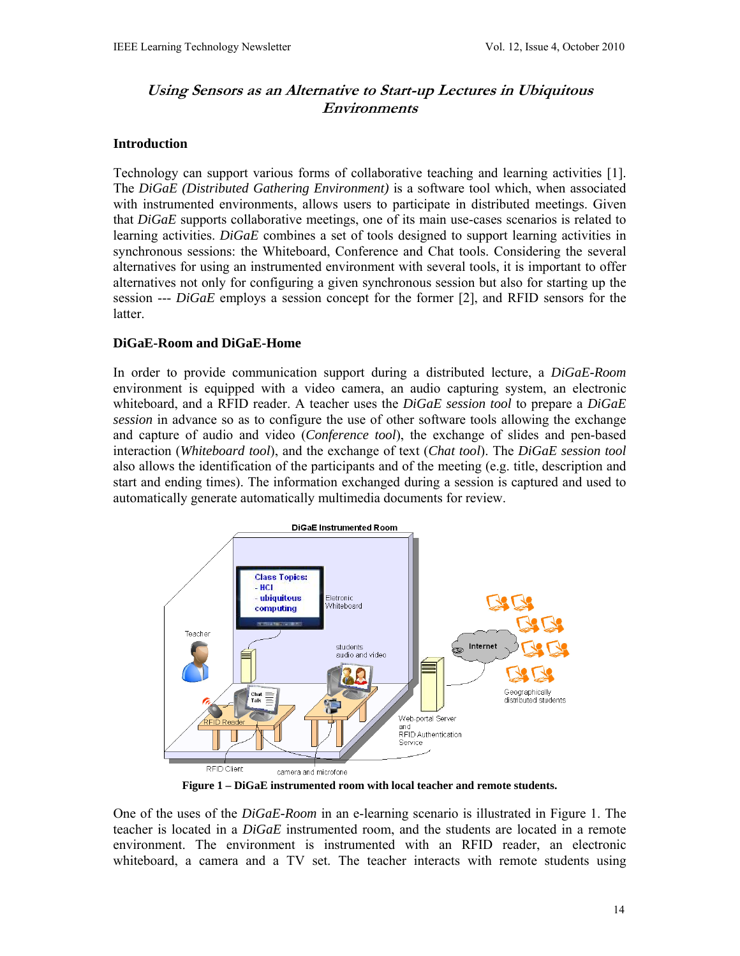# **Using Sensors as an Alternative to Start-up Lectures in Ubiquitous Environments**

## **Introduction**

Technology can support various forms of collaborative teaching and learning activities [1]. The *DiGaE (Distributed Gathering Environment)* is a software tool which, when associated with instrumented environments, allows users to participate in distributed meetings. Given that *DiGaE* supports collaborative meetings, one of its main use-cases scenarios is related to learning activities. *DiGaE* combines a set of tools designed to support learning activities in synchronous sessions: the Whiteboard, Conference and Chat tools. Considering the several alternatives for using an instrumented environment with several tools, it is important to offer alternatives not only for configuring a given synchronous session but also for starting up the session --- *DiGaE* employs a session concept for the former [2], and RFID sensors for the latter.

### **DiGaE-Room and DiGaE-Home**

In order to provide communication support during a distributed lecture, a *DiGaE-Room* environment is equipped with a video camera, an audio capturing system, an electronic whiteboard, and a RFID reader. A teacher uses the *DiGaE session tool* to prepare a *DiGaE session* in advance so as to configure the use of other software tools allowing the exchange and capture of audio and video (*Conference tool*), the exchange of slides and pen-based interaction (*Whiteboard tool*), and the exchange of text (*Chat tool*). The *DiGaE session tool* also allows the identification of the participants and of the meeting (e.g. title, description and start and ending times). The information exchanged during a session is captured and used to automatically generate automatically multimedia documents for review.



**Figure 1 – DiGaE instrumented room with local teacher and remote students.** 

One of the uses of the *DiGaE-Room* in an e-learning scenario is illustrated in Figure 1. The teacher is located in a *DiGaE* instrumented room, and the students are located in a remote environment. The environment is instrumented with an RFID reader, an electronic whiteboard, a camera and a TV set. The teacher interacts with remote students using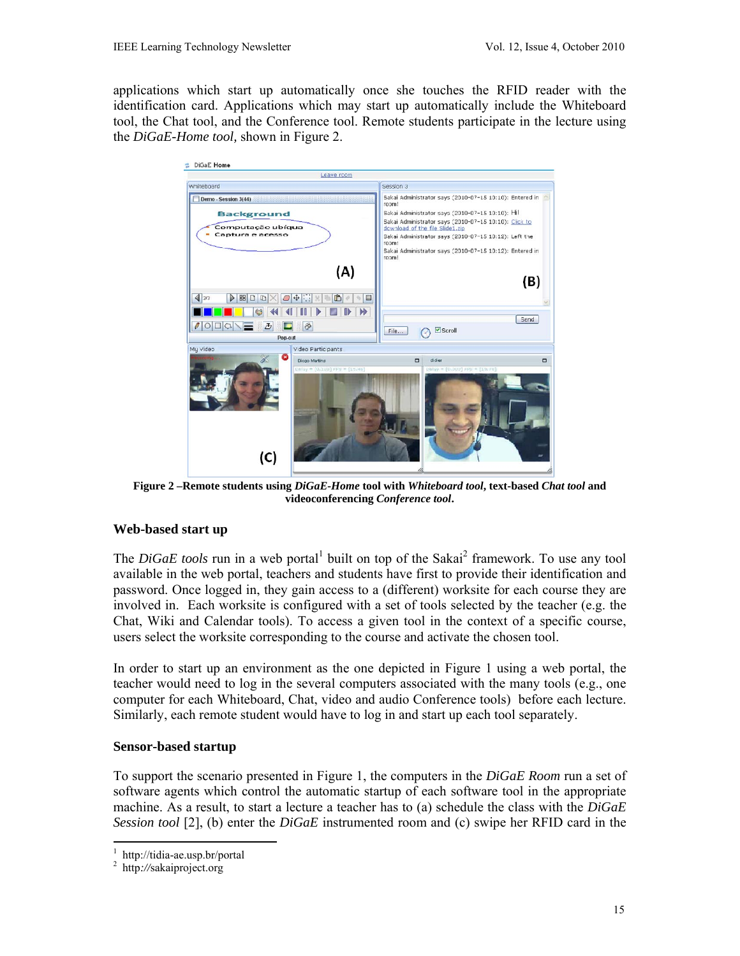applications which start up automatically once she touches the RFID reader with the identification card. Applications which may start up automatically include the Whiteboard tool, the Chat tool, and the Conference tool. Remote students participate in the lecture using the *DiGaE-Home tool,* shown in Figure 2.



**Figure 2 –Remote students using** *DiGaE-Home* **tool with** *Whiteboard tool***, text-based** *Chat tool* **and videoconferencing** *Conference tool***.** 

# **Web-based start up**

The *DiGaE tools* run in a web portal<sup>1</sup> built on top of the Sakai<sup>2</sup> framework. To use any tool available in the web portal, teachers and students have first to provide their identification and password. Once logged in, they gain access to a (different) worksite for each course they are involved in. Each worksite is configured with a set of tools selected by the teacher (e.g. the Chat, Wiki and Calendar tools). To access a given tool in the context of a specific course, users select the worksite corresponding to the course and activate the chosen tool.

In order to start up an environment as the one depicted in Figure 1 using a web portal, the teacher would need to log in the several computers associated with the many tools (e.g., one computer for each Whiteboard, Chat, video and audio Conference tools) before each lecture. Similarly, each remote student would have to log in and start up each tool separately.

# **Sensor-based startup**

To support the scenario presented in Figure 1, the computers in the *DiGaE Room* run a set of software agents which control the automatic startup of each software tool in the appropriate machine. As a result, to start a lecture a teacher has to (a) schedule the class with the *DiGaE Session tool* [2], (b) enter the *DiGaE* instrumented room and (c) swipe her RFID card in the

<sup>-</sup>1 http://tidia-ae.usp.br/portal

<sup>2</sup> http*://*sakaiproject.org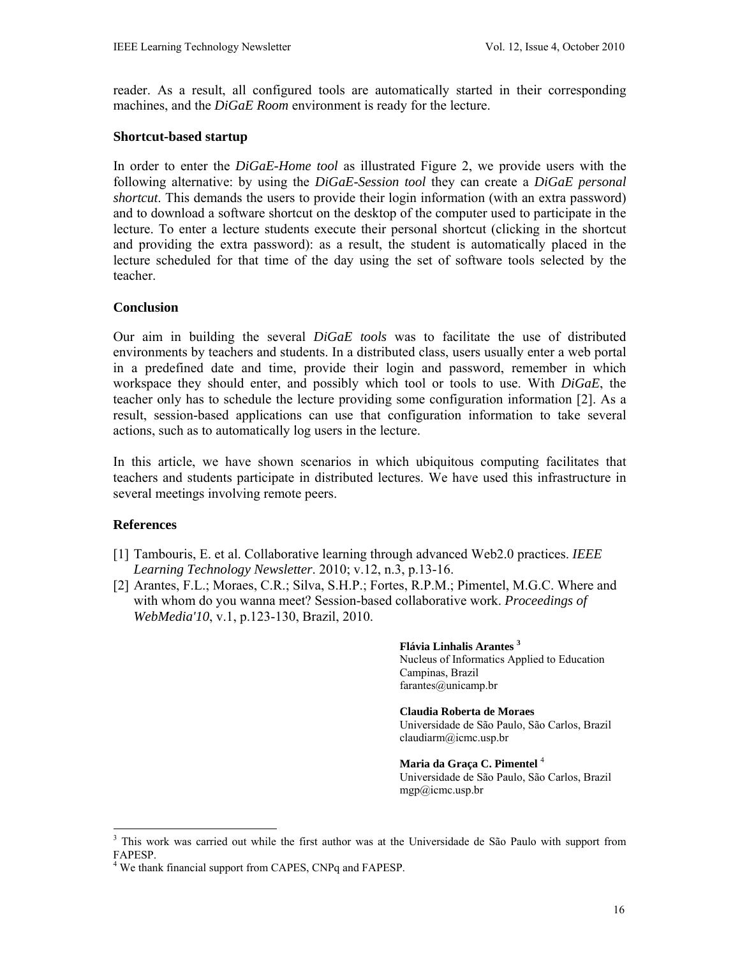reader. As a result, all configured tools are automatically started in their corresponding machines, and the *DiGaE Room* environment is ready for the lecture.

#### **Shortcut-based startup**

In order to enter the *DiGaE-Home tool* as illustrated Figure 2, we provide users with the following alternative: by using the *DiGaE-Session tool* they can create a *DiGaE personal shortcut*. This demands the users to provide their login information (with an extra password) and to download a software shortcut on the desktop of the computer used to participate in the lecture. To enter a lecture students execute their personal shortcut (clicking in the shortcut and providing the extra password): as a result, the student is automatically placed in the lecture scheduled for that time of the day using the set of software tools selected by the teacher.

#### **Conclusion**

Our aim in building the several *DiGaE tools* was to facilitate the use of distributed environments by teachers and students. In a distributed class, users usually enter a web portal in a predefined date and time, provide their login and password, remember in which workspace they should enter, and possibly which tool or tools to use. With *DiGaE*, the teacher only has to schedule the lecture providing some configuration information [2]. As a result, session-based applications can use that configuration information to take several actions, such as to automatically log users in the lecture.

In this article, we have shown scenarios in which ubiquitous computing facilitates that teachers and students participate in distributed lectures. We have used this infrastructure in several meetings involving remote peers.

### **References**

-

- [1] Tambouris, E. et al. Collaborative learning through advanced Web2.0 practices. *IEEE Learning Technology Newsletter*. 2010; v.12, n.3, p.13-16.
- [2] Arantes, F.L.; Moraes, C.R.; Silva, S.H.P.; Fortes, R.P.M.; Pimentel, M.G.C. Where and with whom do you wanna meet? Session-based collaborative work. *Proceedings of WebMedia'10*, v.1, p.123-130, Brazil, 2010.

**Flávia Linhalis Arantes <sup>3</sup>**

Nucleus of Informatics Applied to Education Campinas, Brazil farantes@unicamp.br

**Claudia Roberta de Moraes**  Universidade de São Paulo, São Carlos, Brazil claudiarm@icmc.usp.br

**Maria da Graça C. Pimentel** <sup>4</sup> Universidade de São Paulo, São Carlos, Brazil mgp@icmc.usp.br

<sup>&</sup>lt;sup>3</sup> This work was carried out while the first author was at the Universidade de São Paulo with support from FAPESP.

<sup>&</sup>lt;sup>4</sup> We thank financial support from CAPES, CNPq and FAPESP.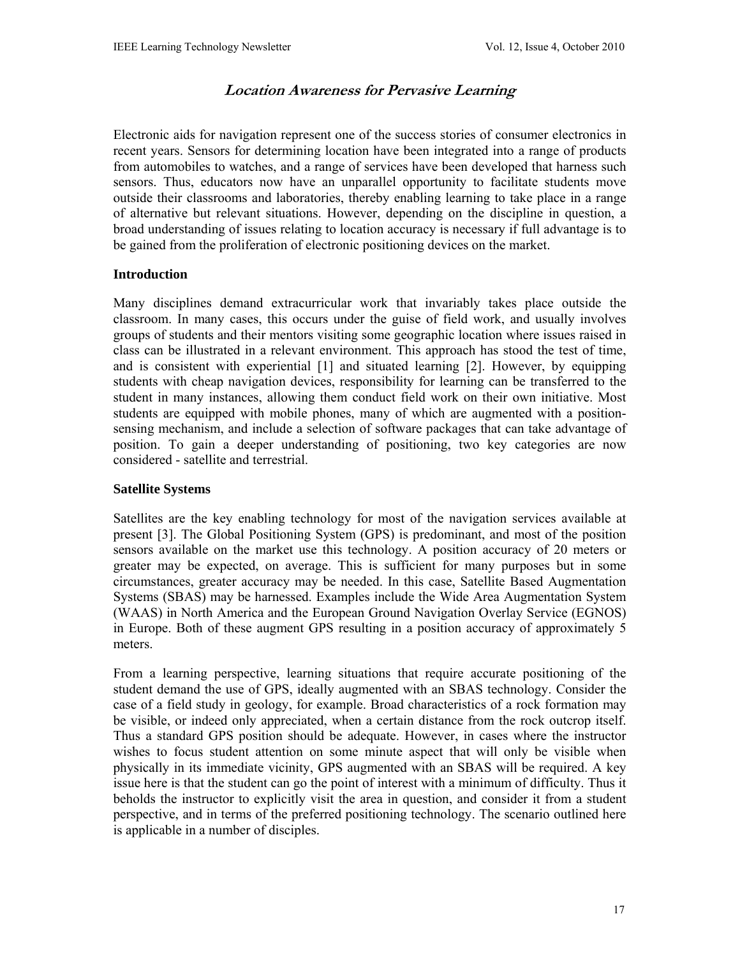# **Location Awareness for Pervasive Learning**

Electronic aids for navigation represent one of the success stories of consumer electronics in recent years. Sensors for determining location have been integrated into a range of products from automobiles to watches, and a range of services have been developed that harness such sensors. Thus, educators now have an unparallel opportunity to facilitate students move outside their classrooms and laboratories, thereby enabling learning to take place in a range of alternative but relevant situations. However, depending on the discipline in question, a broad understanding of issues relating to location accuracy is necessary if full advantage is to be gained from the proliferation of electronic positioning devices on the market.

### **Introduction**

Many disciplines demand extracurricular work that invariably takes place outside the classroom. In many cases, this occurs under the guise of field work, and usually involves groups of students and their mentors visiting some geographic location where issues raised in class can be illustrated in a relevant environment. This approach has stood the test of time, and is consistent with experiential [1] and situated learning [2]. However, by equipping students with cheap navigation devices, responsibility for learning can be transferred to the student in many instances, allowing them conduct field work on their own initiative. Most students are equipped with mobile phones, many of which are augmented with a positionsensing mechanism, and include a selection of software packages that can take advantage of position. To gain a deeper understanding of positioning, two key categories are now considered - satellite and terrestrial.

### **Satellite Systems**

Satellites are the key enabling technology for most of the navigation services available at present [3]. The Global Positioning System (GPS) is predominant, and most of the position sensors available on the market use this technology. A position accuracy of 20 meters or greater may be expected, on average. This is sufficient for many purposes but in some circumstances, greater accuracy may be needed. In this case, Satellite Based Augmentation Systems (SBAS) may be harnessed. Examples include the Wide Area Augmentation System (WAAS) in North America and the European Ground Navigation Overlay Service (EGNOS) in Europe. Both of these augment GPS resulting in a position accuracy of approximately 5 meters.

From a learning perspective, learning situations that require accurate positioning of the student demand the use of GPS, ideally augmented with an SBAS technology. Consider the case of a field study in geology, for example. Broad characteristics of a rock formation may be visible, or indeed only appreciated, when a certain distance from the rock outcrop itself. Thus a standard GPS position should be adequate. However, in cases where the instructor wishes to focus student attention on some minute aspect that will only be visible when physically in its immediate vicinity, GPS augmented with an SBAS will be required. A key issue here is that the student can go the point of interest with a minimum of difficulty. Thus it beholds the instructor to explicitly visit the area in question, and consider it from a student perspective, and in terms of the preferred positioning technology. The scenario outlined here is applicable in a number of disciples.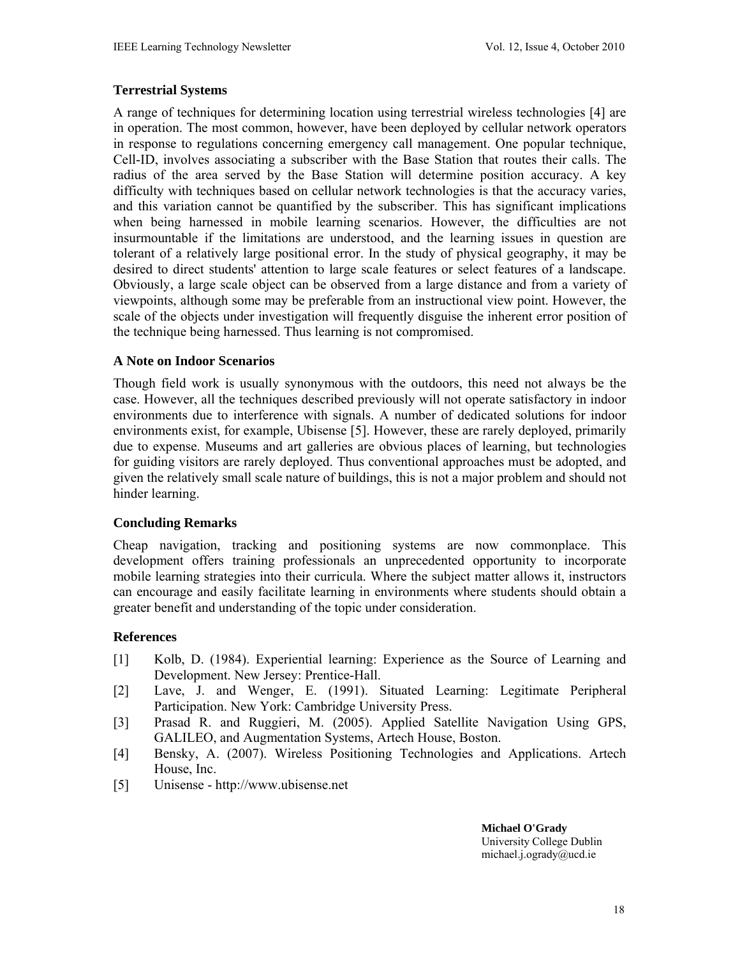# **Terrestrial Systems**

A range of techniques for determining location using terrestrial wireless technologies [4] are in operation. The most common, however, have been deployed by cellular network operators in response to regulations concerning emergency call management. One popular technique, Cell-ID, involves associating a subscriber with the Base Station that routes their calls. The radius of the area served by the Base Station will determine position accuracy. A key difficulty with techniques based on cellular network technologies is that the accuracy varies, and this variation cannot be quantified by the subscriber. This has significant implications when being harnessed in mobile learning scenarios. However, the difficulties are not insurmountable if the limitations are understood, and the learning issues in question are tolerant of a relatively large positional error. In the study of physical geography, it may be desired to direct students' attention to large scale features or select features of a landscape. Obviously, a large scale object can be observed from a large distance and from a variety of viewpoints, although some may be preferable from an instructional view point. However, the scale of the objects under investigation will frequently disguise the inherent error position of the technique being harnessed. Thus learning is not compromised.

## **A Note on Indoor Scenarios**

Though field work is usually synonymous with the outdoors, this need not always be the case. However, all the techniques described previously will not operate satisfactory in indoor environments due to interference with signals. A number of dedicated solutions for indoor environments exist, for example, Ubisense [5]. However, these are rarely deployed, primarily due to expense. Museums and art galleries are obvious places of learning, but technologies for guiding visitors are rarely deployed. Thus conventional approaches must be adopted, and given the relatively small scale nature of buildings, this is not a major problem and should not hinder learning.

### **Concluding Remarks**

Cheap navigation, tracking and positioning systems are now commonplace. This development offers training professionals an unprecedented opportunity to incorporate mobile learning strategies into their curricula. Where the subject matter allows it, instructors can encourage and easily facilitate learning in environments where students should obtain a greater benefit and understanding of the topic under consideration.

# **References**

- [1] Kolb, D. (1984). Experiential learning: Experience as the Source of Learning and Development. New Jersey: Prentice-Hall.
- [2] Lave, J. and Wenger, E. (1991). Situated Learning: Legitimate Peripheral Participation. New York: Cambridge University Press.
- [3] Prasad R. and Ruggieri, M. (2005). Applied Satellite Navigation Using GPS, GALILEO, and Augmentation Systems, Artech House, Boston.
- [4] Bensky, A. (2007). Wireless Positioning Technologies and Applications. Artech House, Inc.
- [5] Unisense http://www.ubisense.net

**Michael O'Grady**  University College Dublin michael.j.ogrady@ucd.ie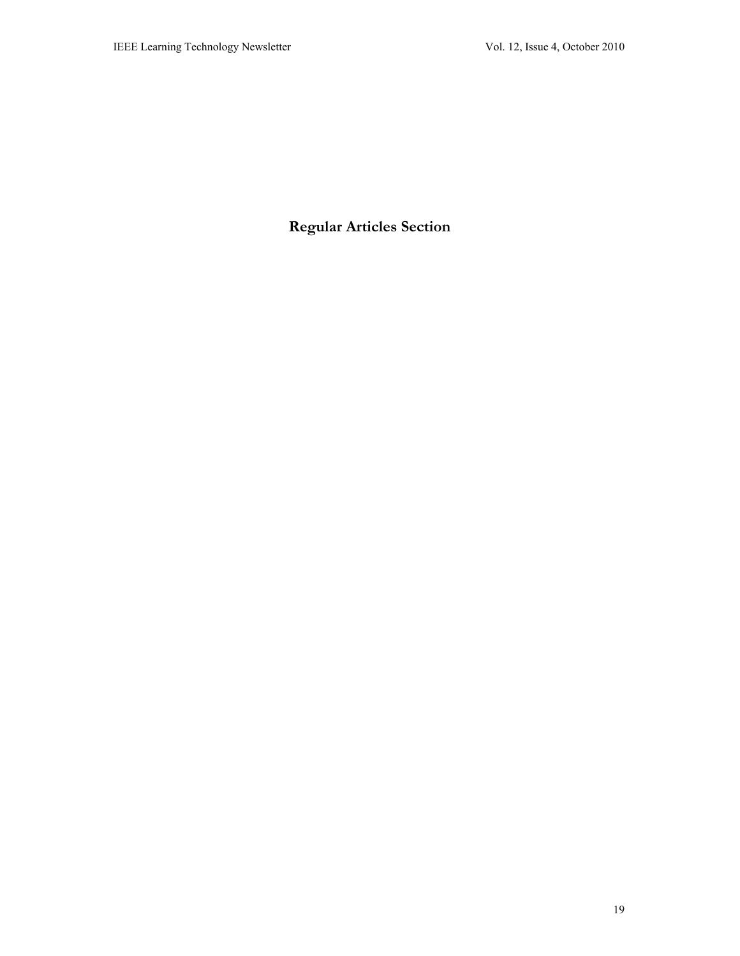**Regular Articles Section**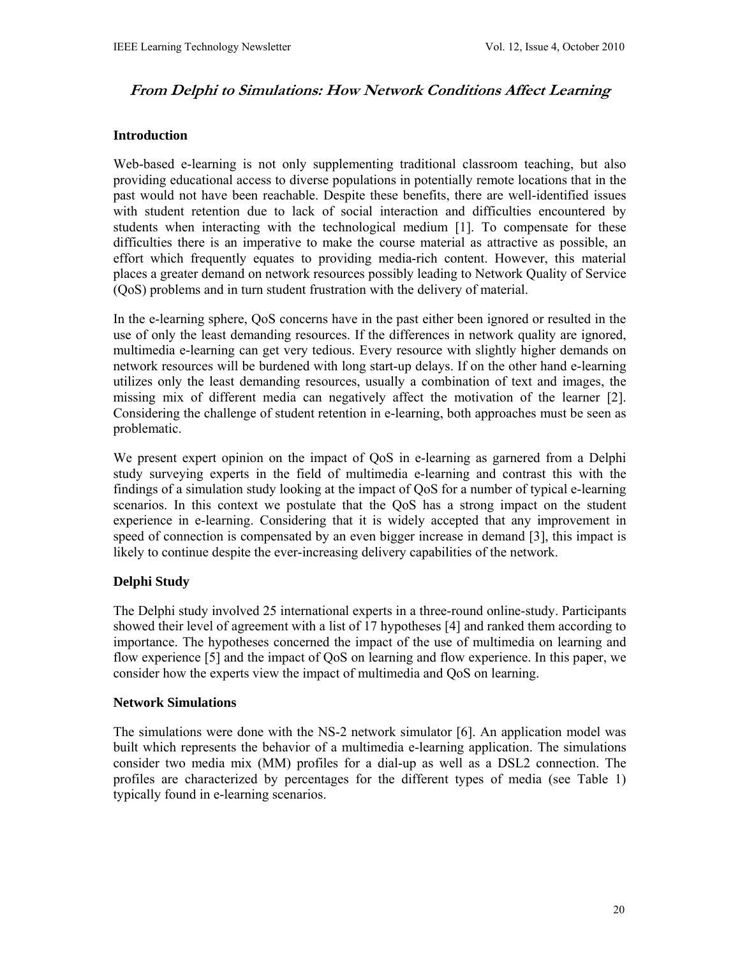# **From Delphi to Simulations: How Network Conditions Affect Learning**

### **Introduction**

Web-based e-learning is not only supplementing traditional classroom teaching, but also providing educational access to diverse populations in potentially remote locations that in the past would not have been reachable. Despite these benefits, there are well-identified issues with student retention due to lack of social interaction and difficulties encountered by students when interacting with the technological medium [1]. To compensate for these difficulties there is an imperative to make the course material as attractive as possible, an effort which frequently equates to providing media-rich content. However, this material places a greater demand on network resources possibly leading to Network Quality of Service (QoS) problems and in turn student frustration with the delivery of material.

In the e-learning sphere, QoS concerns have in the past either been ignored or resulted in the use of only the least demanding resources. If the differences in network quality are ignored, multimedia e-learning can get very tedious. Every resource with slightly higher demands on network resources will be burdened with long start-up delays. If on the other hand e-learning utilizes only the least demanding resources, usually a combination of text and images, the missing mix of different media can negatively affect the motivation of the learner [2]. Considering the challenge of student retention in e-learning, both approaches must be seen as problematic.

We present expert opinion on the impact of QoS in e-learning as garnered from a Delphi study surveying experts in the field of multimedia e-learning and contrast this with the findings of a simulation study looking at the impact of QoS for a number of typical e-learning scenarios. In this context we postulate that the QoS has a strong impact on the student experience in e-learning. Considering that it is widely accepted that any improvement in speed of connection is compensated by an even bigger increase in demand [3], this impact is likely to continue despite the ever-increasing delivery capabilities of the network.

# **Delphi Study**

The Delphi study involved 25 international experts in a three-round online-study. Participants showed their level of agreement with a list of 17 hypotheses [4] and ranked them according to importance. The hypotheses concerned the impact of the use of multimedia on learning and flow experience [5] and the impact of QoS on learning and flow experience. In this paper, we consider how the experts view the impact of multimedia and QoS on learning.

### **Network Simulations**

The simulations were done with the NS-2 network simulator [6]. An application model was built which represents the behavior of a multimedia e-learning application. The simulations consider two media mix (MM) profiles for a dial-up as well as a DSL2 connection. The profiles are characterized by percentages for the different types of media (see Table 1) typically found in e-learning scenarios.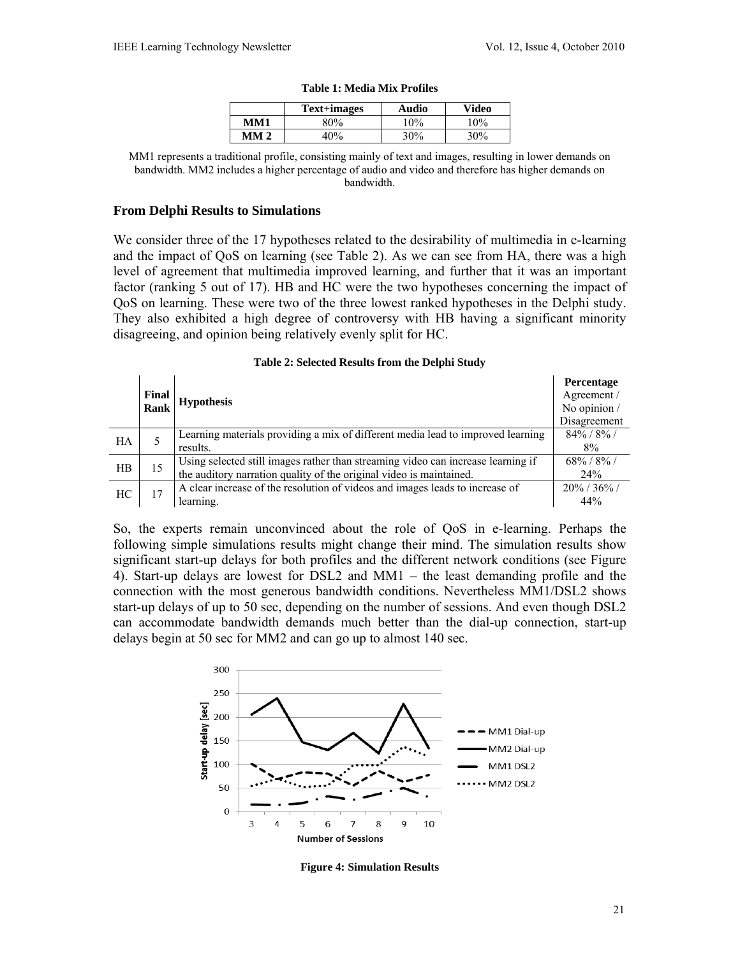|      | Text+images | Audio | <b>Video</b> |
|------|-------------|-------|--------------|
| MM1  | ዳበ%         | $0\%$ | $10\%$       |
| MM 2 | 10%         | 30%   | 30%          |

#### **Table 1: Media Mix Profiles**

MM1 represents a traditional profile, consisting mainly of text and images, resulting in lower demands on bandwidth. MM2 includes a higher percentage of audio and video and therefore has higher demands on bandwidth.

#### **From Delphi Results to Simulations**

We consider three of the 17 hypotheses related to the desirability of multimedia in e-learning and the impact of QoS on learning (see Table 2). As we can see from HA, there was a high level of agreement that multimedia improved learning, and further that it was an important factor (ranking 5 out of 17). HB and HC were the two hypotheses concerning the impact of QoS on learning. These were two of the three lowest ranked hypotheses in the Delphi study. They also exhibited a high degree of controversy with HB having a significant minority disagreeing, and opinion being relatively evenly split for HC.

|       |      |                                                                                  | <b>Percentage</b> |
|-------|------|----------------------------------------------------------------------------------|-------------------|
| Final |      |                                                                                  |                   |
|       | Rank | <b>Hypothesis</b>                                                                | No opinion /      |
|       |      |                                                                                  | Disagreement      |
| HA    |      | Learning materials providing a mix of different media lead to improved learning  | $84\% / 8\% /$    |
|       |      | results.                                                                         | 8%                |
| HR    | 15   | Using selected still images rather than streaming video can increase learning if | $68\% / 8\% /$    |
|       |      | the auditory narration quality of the original video is maintained.              | 24%               |
| HC    | 17   | A clear increase of the resolution of videos and images leads to increase of     | $20\%$ / 36% /    |
|       |      | learning.                                                                        | 44%               |

#### **Table 2: Selected Results from the Delphi Study**

So, the experts remain unconvinced about the role of QoS in e-learning. Perhaps the following simple simulations results might change their mind. The simulation results show significant start-up delays for both profiles and the different network conditions (see Figure 4). Start-up delays are lowest for DSL2 and MM1 – the least demanding profile and the connection with the most generous bandwidth conditions. Nevertheless MM1/DSL2 shows start-up delays of up to 50 sec, depending on the number of sessions. And even though DSL2 can accommodate bandwidth demands much better than the dial-up connection, start-up delays begin at 50 sec for MM2 and can go up to almost 140 sec.



**Figure 4: Simulation Results**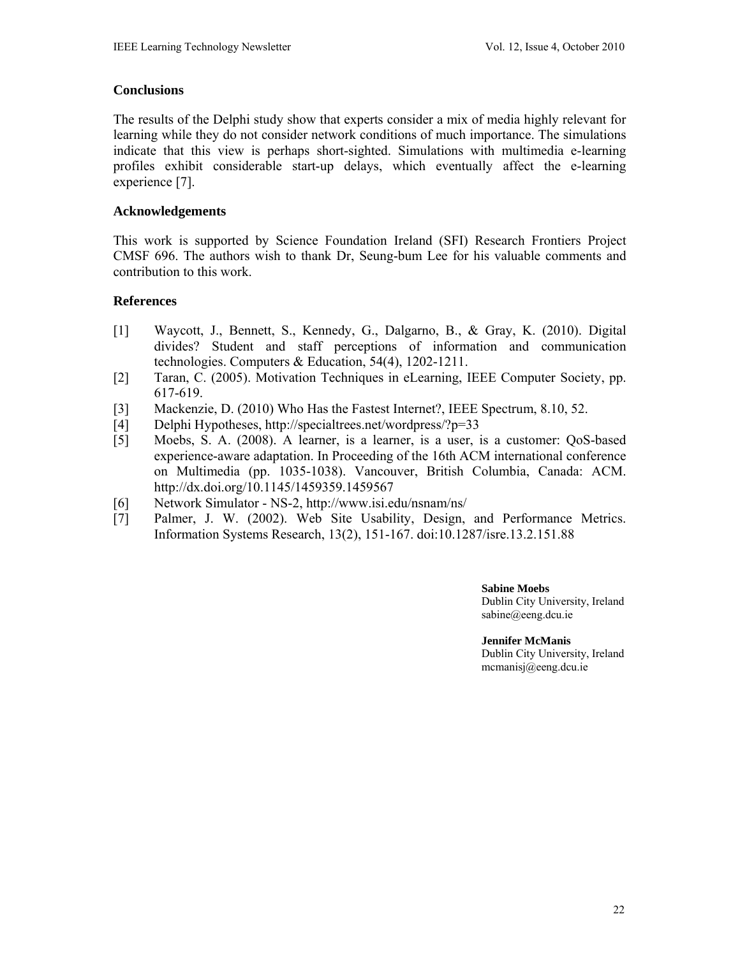## **Conclusions**

The results of the Delphi study show that experts consider a mix of media highly relevant for learning while they do not consider network conditions of much importance. The simulations indicate that this view is perhaps short-sighted. Simulations with multimedia e-learning profiles exhibit considerable start-up delays, which eventually affect the e-learning experience [7].

## **Acknowledgements**

This work is supported by Science Foundation Ireland (SFI) Research Frontiers Project CMSF 696. The authors wish to thank Dr, Seung-bum Lee for his valuable comments and contribution to this work.

## **References**

- [1] Waycott, J., Bennett, S., Kennedy, G., Dalgarno, B., & Gray, K. (2010). Digital divides? Student and staff perceptions of information and communication technologies. Computers & Education, 54(4), 1202-1211.
- [2] Taran, C. (2005). Motivation Techniques in eLearning, IEEE Computer Society, pp. 617-619.
- [3] Mackenzie, D. (2010) Who Has the Fastest Internet?, IEEE Spectrum, 8.10, 52.
- [4] Delphi Hypotheses, http://specialtrees.net/wordpress/?p=33
- [5] Moebs, S. A. (2008). A learner, is a learner, is a user, is a customer: QoS-based experience-aware adaptation. In Proceeding of the 16th ACM international conference on Multimedia (pp. 1035-1038). Vancouver, British Columbia, Canada: ACM. http://dx.doi.org/10.1145/1459359.1459567
- [6] Network Simulator NS-2, http://www.isi.edu/nsnam/ns/
- [7] Palmer, J. W. (2002). Web Site Usability, Design, and Performance Metrics. Information Systems Research, 13(2), 151-167. doi:10.1287/isre.13.2.151.88

**Sabine Moebs**  Dublin City University, Ireland sabine@eeng.dcu.ie

**Jennifer McManis**  Dublin City University, Ireland mcmanisj@eeng.dcu.ie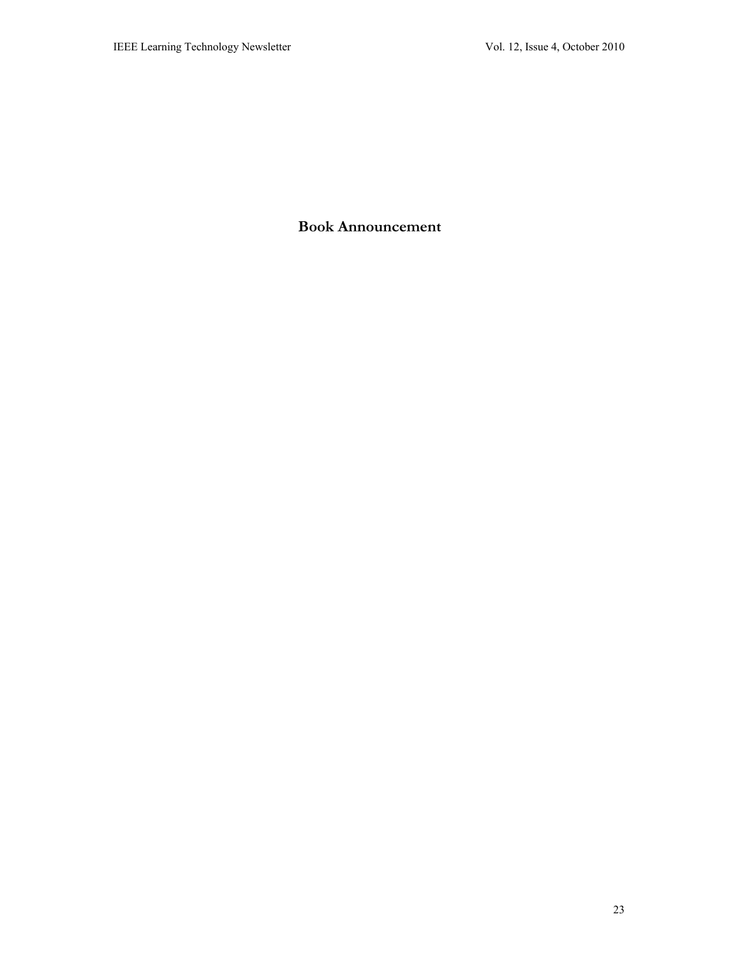# **Book Announcement**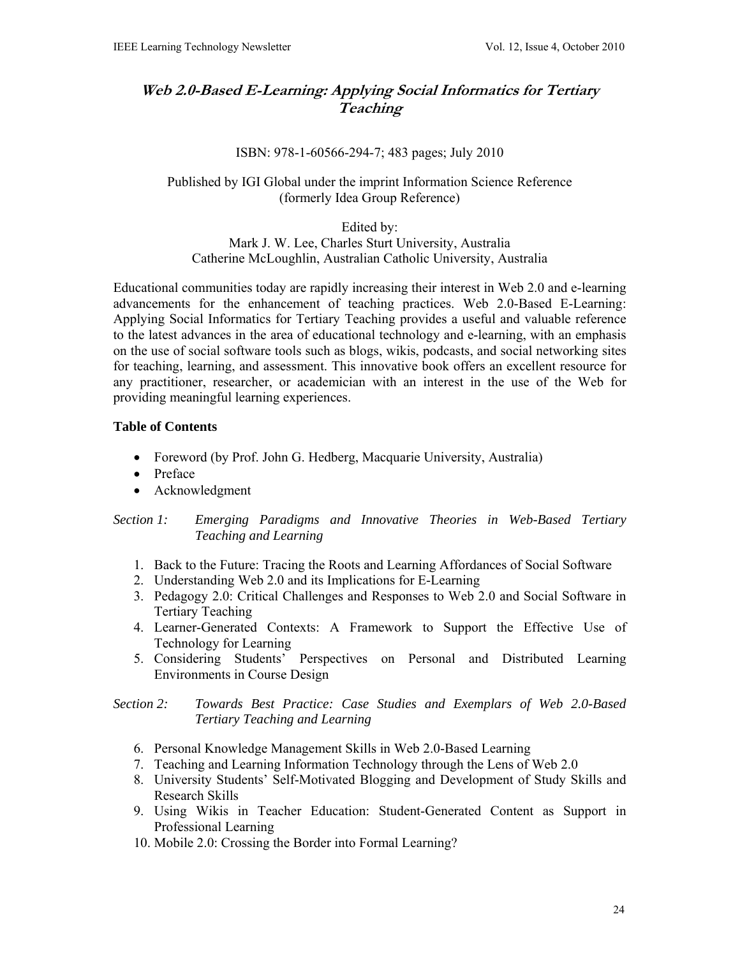# **Web 2.0-Based E-Learning: Applying Social Informatics for Tertiary Teaching**

### ISBN: 978-1-60566-294-7; 483 pages; July 2010

## Published by IGI Global under the imprint Information Science Reference (formerly Idea Group Reference)

Edited by:

Mark J. W. Lee, Charles Sturt University, Australia Catherine McLoughlin, Australian Catholic University, Australia

Educational communities today are rapidly increasing their interest in Web 2.0 and e-learning advancements for the enhancement of teaching practices. Web 2.0-Based E-Learning: Applying Social Informatics for Tertiary Teaching provides a useful and valuable reference to the latest advances in the area of educational technology and e-learning, with an emphasis on the use of social software tools such as blogs, wikis, podcasts, and social networking sites for teaching, learning, and assessment. This innovative book offers an excellent resource for any practitioner, researcher, or academician with an interest in the use of the Web for providing meaningful learning experiences.

### **Table of Contents**

- Foreword (by Prof. John G. Hedberg, Macquarie University, Australia)
- Preface
- Acknowledgment

*Section 1: Emerging Paradigms and Innovative Theories in Web-Based Tertiary Teaching and Learning* 

- 1. Back to the Future: Tracing the Roots and Learning Affordances of Social Software
- 2. Understanding Web 2.0 and its Implications for E-Learning
- 3. Pedagogy 2.0: Critical Challenges and Responses to Web 2.0 and Social Software in Tertiary Teaching
- 4. Learner-Generated Contexts: A Framework to Support the Effective Use of Technology for Learning
- 5. Considering Students' Perspectives on Personal and Distributed Learning Environments in Course Design

## *Section 2: Towards Best Practice: Case Studies and Exemplars of Web 2.0-Based Tertiary Teaching and Learning*

- 6. Personal Knowledge Management Skills in Web 2.0-Based Learning
- 7. Teaching and Learning Information Technology through the Lens of Web 2.0
- 8. University Students' Self-Motivated Blogging and Development of Study Skills and Research Skills
- 9. Using Wikis in Teacher Education: Student-Generated Content as Support in Professional Learning
- 10. Mobile 2.0: Crossing the Border into Formal Learning?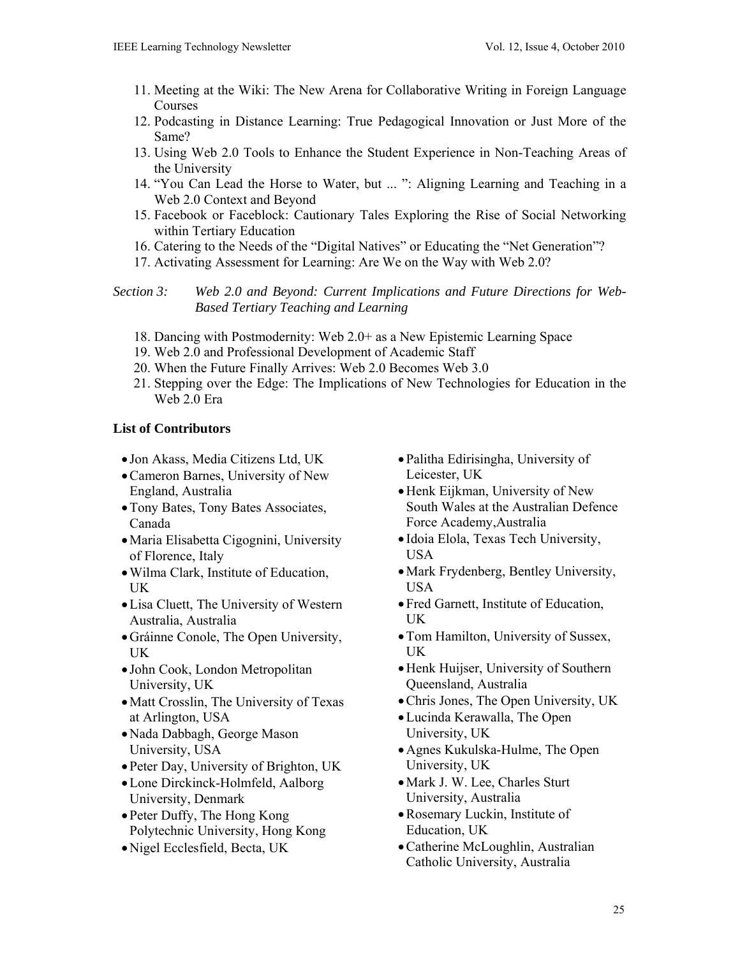- 11. Meeting at the Wiki: The New Arena for Collaborative Writing in Foreign Language Courses
- 12. Podcasting in Distance Learning: True Pedagogical Innovation or Just More of the Same?
- 13. Using Web 2.0 Tools to Enhance the Student Experience in Non-Teaching Areas of the University
- 14. "You Can Lead the Horse to Water, but ... ": Aligning Learning and Teaching in a Web 2.0 Context and Beyond
- 15. Facebook or Faceblock: Cautionary Tales Exploring the Rise of Social Networking within Tertiary Education
- 16. Catering to the Needs of the "Digital Natives" or Educating the "Net Generation"?
- 17. Activating Assessment for Learning: Are We on the Way with Web 2.0?

*Section 3: Web 2.0 and Beyond: Current Implications and Future Directions for Web-Based Tertiary Teaching and Learning* 

- 18. Dancing with Postmodernity: Web 2.0+ as a New Epistemic Learning Space
- 19. Web 2.0 and Professional Development of Academic Staff
- 20. When the Future Finally Arrives: Web 2.0 Becomes Web 3.0
- 21. Stepping over the Edge: The Implications of New Technologies for Education in the Web 2.0 Era

# **List of Contributors**

- Jon Akass, Media Citizens Ltd, UK
- Cameron Barnes, University of New England, Australia
- Tony Bates, Tony Bates Associates, Canada
- Maria Elisabetta Cigognini, University of Florence, Italy
- Wilma Clark, Institute of Education, UK
- Lisa Cluett, The University of Western Australia, Australia
- Gráinne Conole, The Open University, UK
- John Cook, London Metropolitan University, UK
- Matt Crosslin, The University of Texas at Arlington, USA
- Nada Dabbagh, George Mason University, USA
- Peter Day, University of Brighton, UK
- Lone Dirckinck-Holmfeld, Aalborg University, Denmark
- Peter Duffy, The Hong Kong Polytechnic University, Hong Kong
- Nigel Ecclesfield, Becta, UK
- Palitha Edirisingha, University of Leicester, UK
- Henk Eijkman, University of New South Wales at the Australian Defence Force Academy,Australia
- Idoia Elola, Texas Tech University, USA
- Mark Frydenberg, Bentley University, USA
- Fred Garnett, Institute of Education, UK
- Tom Hamilton, University of Sussex, UK
- Henk Huijser, University of Southern Queensland, Australia
- Chris Jones, The Open University, UK
- Lucinda Kerawalla, The Open University, UK
- Agnes Kukulska-Hulme, The Open University, UK
- Mark J. W. Lee, Charles Sturt University, Australia
- Rosemary Luckin, Institute of Education, UK
- Catherine McLoughlin, Australian Catholic University, Australia